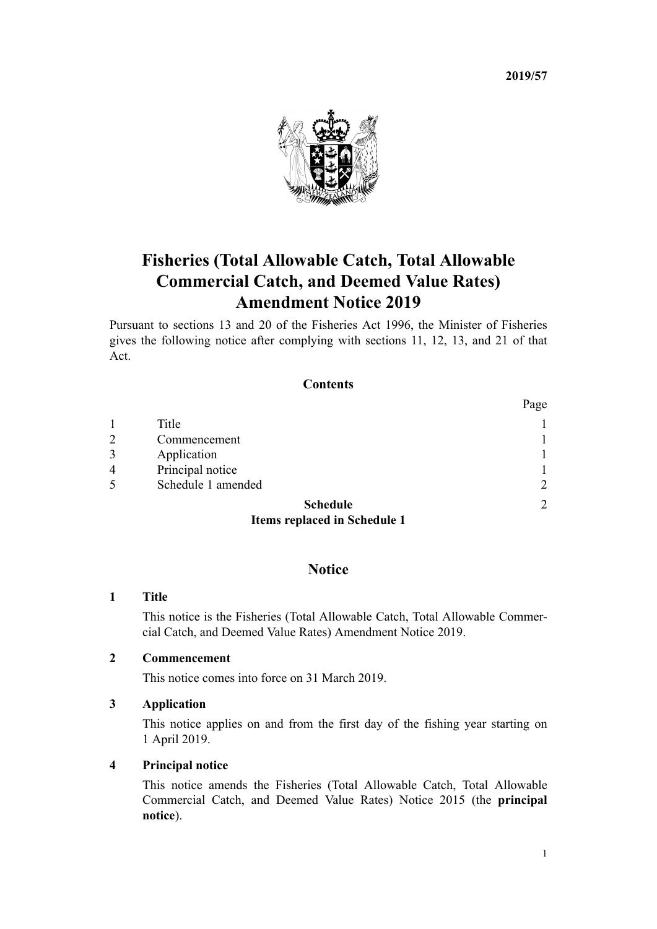**2019/57**



# **Fisheries (Total Allowable Catch, Total Allowable Commercial Catch, and Deemed Value Rates) Amendment Notice 2019**

Pursuant to [sections 13](http://legislation.govt.nz/pdflink.aspx?id=DLM395507) and [20](http://legislation.govt.nz/pdflink.aspx?id=DLM395549) of the [Fisheries Act 1996](http://legislation.govt.nz/pdflink.aspx?id=DLM394191), the Minister of Fisheries gives the following notice after complying with [sections 11,](http://legislation.govt.nz/pdflink.aspx?id=DLM395397) [12](http://legislation.govt.nz/pdflink.aspx?id=DLM395504), [13](http://legislation.govt.nz/pdflink.aspx?id=DLM395507), and [21](http://legislation.govt.nz/pdflink.aspx?id=DLM395551) of that Act.

# **Contents**

|                |                                     | Page           |
|----------------|-------------------------------------|----------------|
| 1              | Title                               |                |
| $\overline{2}$ | Commencement                        |                |
| 3              | Application                         |                |
| 4              | Principal notice                    |                |
| 5              | Schedule 1 amended                  | $\overline{2}$ |
|                | <b>Schedule</b>                     | $\mathfrak{D}$ |
|                | <b>Items replaced in Schedule 1</b> |                |

### **Notice**

#### **1 Title**

This notice is the Fisheries (Total Allowable Catch, Total Allowable Commercial Catch, and Deemed Value Rates) Amendment Notice 2019.

## **2 Commencement**

This notice comes into force on 31 March 2019.

#### **3 Application**

This notice applies on and from the first day of the fishing year starting on 1 April 2019.

#### **4 Principal notice**

This notice amends the [Fisheries \(Total Allowable Catch, Total Allowable](http://legislation.govt.nz/pdflink.aspx?id=DLM6581929) [Commercial Catch, and Deemed Value Rates\) Notice 2015](http://legislation.govt.nz/pdflink.aspx?id=DLM6581929) (the **principal notice**).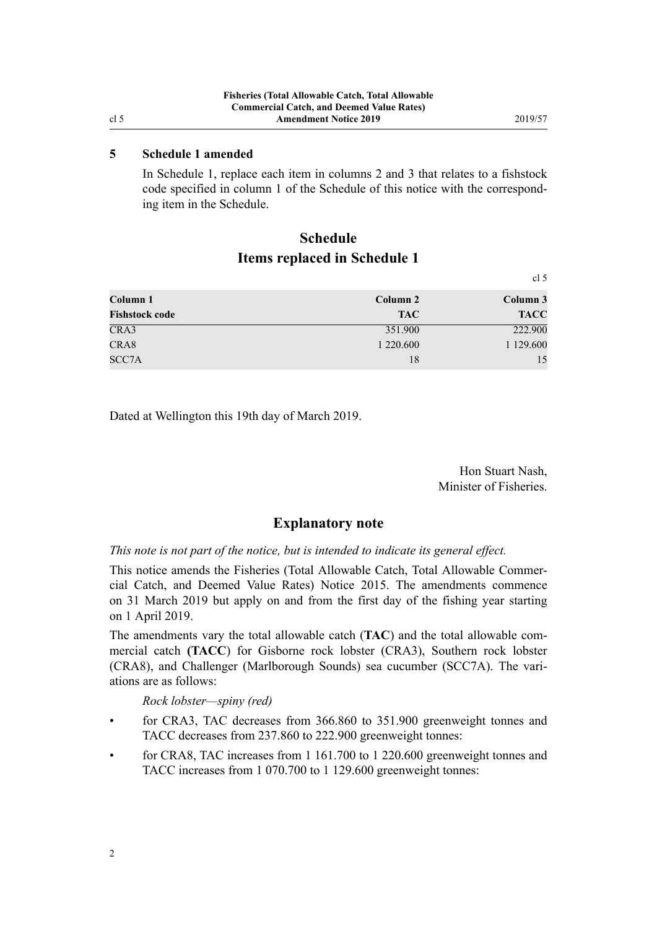$\ddot{\phantom{0}}$ 

#### <span id="page-1-0"></span>**5 Schedule 1 amended**

In [Schedule 1,](http://legislation.govt.nz/pdflink.aspx?id=DLM6581959) replace each item in columns 2 and 3 that relates to a fishstock code specified in column 1 of the Schedule of this notice with the corresponding item in the Schedule.

# **Schedule Items replaced in Schedule 1**

|                       |            | CI <sub>D</sub> |
|-----------------------|------------|-----------------|
| Column 1              | Column 2   | Column 3        |
| <b>Fishstock code</b> | <b>TAC</b> | <b>TACC</b>     |
| CRA3                  | 351.900    | 222.900         |
| CRA8                  | 1 220.600  | 1 129.600       |
| SCC7A                 | 18         | 15              |

Dated at Wellington this 19th day of March 2019.

Hon Stuart Nash, Minister of Fisheries.

#### **Explanatory note**

*This note is not part of the notice, but is intended to indicate its general effect.*

This notice amends the [Fisheries \(Total Allowable Catch, Total Allowable Commer](http://legislation.govt.nz/pdflink.aspx?id=DLM6581929)[cial Catch, and Deemed Value Rates\) Notice 2015](http://legislation.govt.nz/pdflink.aspx?id=DLM6581929). The amendments commence on 31 March 2019 but apply on and from the first day of the fishing year starting on 1 April 2019.

The amendments vary the total allowable catch (**TAC**) and the total allowable commercial catch **(TACC**) for Gisborne rock lobster (CRA3), Southern rock lobster (CRA8), and Challenger (Marlborough Sounds) sea cucumber (SCC7A). The variations are as follows:

*Rock lobster—spiny (red)*

- for CRA3, TAC decreases from 366.860 to 351.900 greenweight tonnes and TACC decreases from 237.860 to 222.900 greenweight tonnes:
- for CRA8, TAC increases from 1 161.700 to 1 220.600 greenweight tonnes and TACC increases from 1 070.700 to 1 129.600 greenweight tonnes: